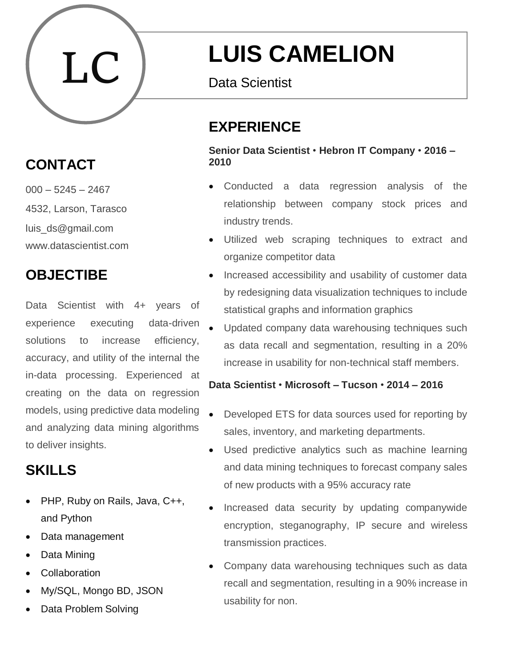

# **CONTACT**

 $000 - 5245 - 2467$ 4532, Larson, Tarasco luis\_ds@gmail.com www.datascientist.com

# **OBJECTIBE**

Data Scientist with 4+ years of experience executing data-driven solutions to increase efficiency, accuracy, and utility of the internal the in-data processing. Experienced at creating on the data on regression models, using predictive data modeling and analyzing data mining algorithms to deliver insights.

# **SKILLS**

- PHP, Ruby on Rails, Java, C++, and Python
- Data management
- Data Mining
- **Collaboration**
- My/SQL, Mongo BD, JSON
- Data Problem Solving

# **LUIS CAMELION**

Data Scientist Data Scientist

# **EXPERIENCE**

**Senior Data Scientist** • **Hebron IT Company** • **2016 – 2010**

- Conducted a data regression analysis of the relationship between company stock prices and industry trends.
- Utilized web scraping techniques to extract and organize competitor data
- Increased accessibility and usability of customer data by redesigning data visualization techniques to include statistical graphs and information graphics
- Updated company data warehousing techniques such as data recall and segmentation, resulting in a 20% increase in usability for non-technical staff members.

#### **Data Scientist** • **Microsoft – Tucson** • **2014 – 2016**

- Developed ETS for data sources used for reporting by sales, inventory, and marketing departments.
- Used predictive analytics such as machine learning and data mining techniques to forecast company sales of new products with a 95% accuracy rate
- Increased data security by updating companywide encryption, steganography, IP secure and wireless transmission practices.
- Company data warehousing techniques such as data recall and segmentation, resulting in a 90% increase in usability for non.